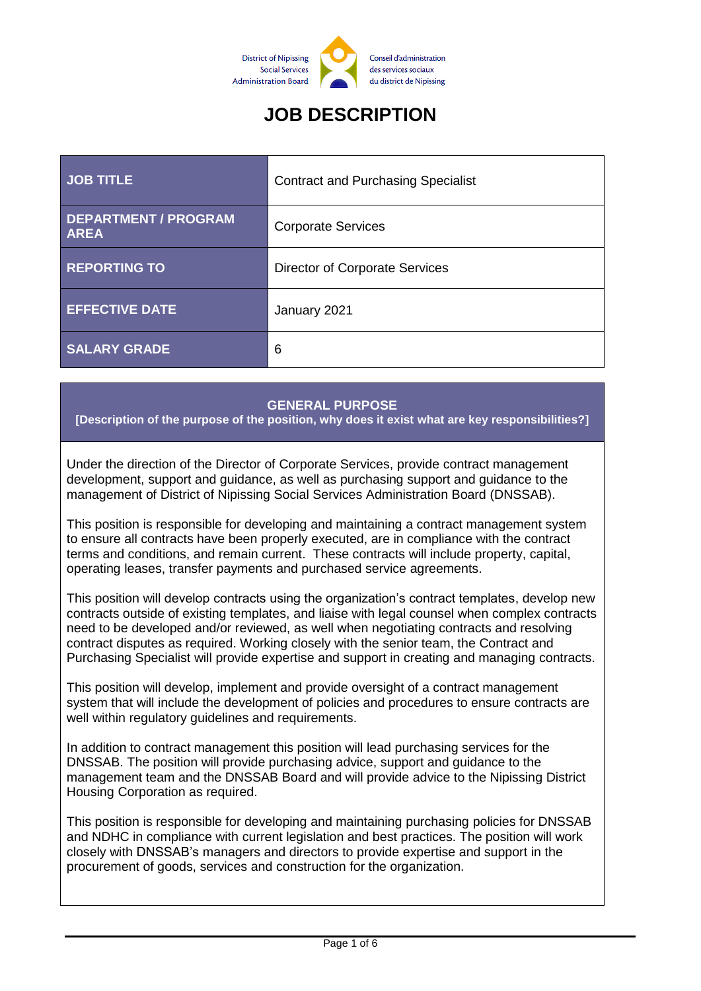

# **JOB DESCRIPTION**

| <b>JOB TITLE</b>                           | <b>Contract and Purchasing Specialist</b> |
|--------------------------------------------|-------------------------------------------|
| <b>DEPARTMENT / PROGRAM</b><br><b>AREA</b> | <b>Corporate Services</b>                 |
| <b>REPORTING TO</b>                        | <b>Director of Corporate Services</b>     |
| <b>EFFECTIVE DATE</b>                      | January 2021                              |
| <b>SALARY GRADE</b>                        | 6                                         |

#### **GENERAL PURPOSE**

**[Description of the purpose of the position, why does it exist what are key responsibilities?]**

Under the direction of the Director of Corporate Services, provide contract management development, support and guidance, as well as purchasing support and guidance to the management of District of Nipissing Social Services Administration Board (DNSSAB).

This position is responsible for developing and maintaining a contract management system to ensure all contracts have been properly executed, are in compliance with the contract terms and conditions, and remain current. These contracts will include property, capital, operating leases, transfer payments and purchased service agreements.

This position will develop contracts using the organization's contract templates, develop new contracts outside of existing templates, and liaise with legal counsel when complex contracts need to be developed and/or reviewed, as well when negotiating contracts and resolving contract disputes as required. Working closely with the senior team, the Contract and Purchasing Specialist will provide expertise and support in creating and managing contracts.

This position will develop, implement and provide oversight of a contract management system that will include the development of policies and procedures to ensure contracts are well within regulatory guidelines and requirements.

In addition to contract management this position will lead purchasing services for the DNSSAB. The position will provide purchasing advice, support and guidance to the management team and the DNSSAB Board and will provide advice to the Nipissing District Housing Corporation as required.

This position is responsible for developing and maintaining purchasing policies for DNSSAB and NDHC in compliance with current legislation and best practices. The position will work closely with DNSSAB's managers and directors to provide expertise and support in the procurement of goods, services and construction for the organization.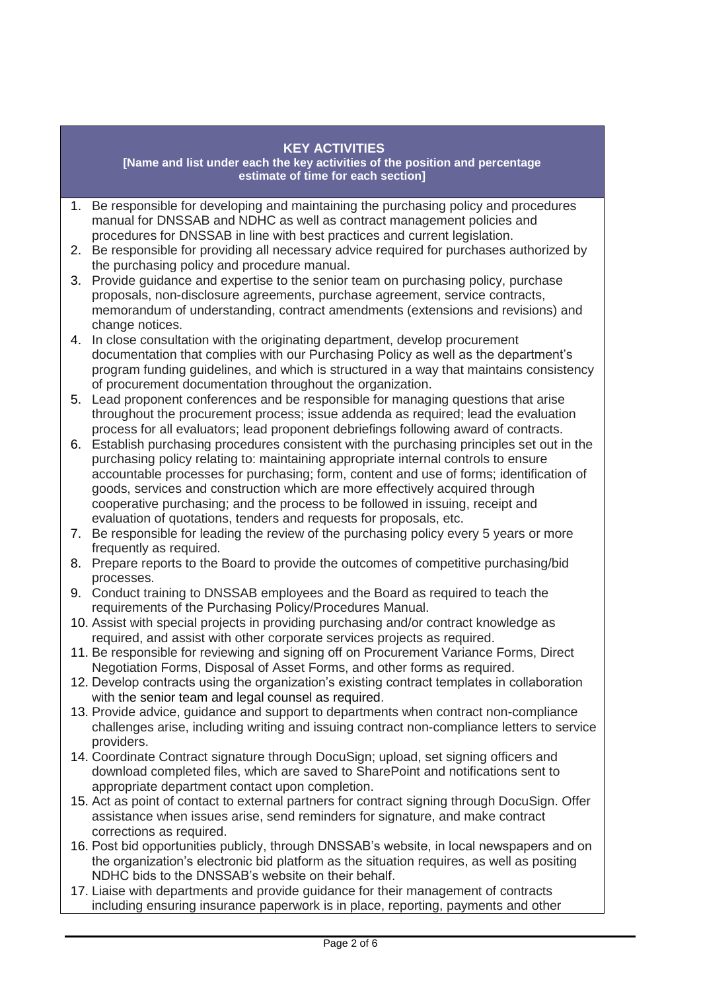#### **KEY ACTIVITIES**

**[Name and list under each the key activities of the position and percentage estimate of time for each section]**

- 1. Be responsible for developing and maintaining the purchasing policy and procedures manual for DNSSAB and NDHC as well as contract management policies and procedures for DNSSAB in line with best practices and current legislation.
- 2. Be responsible for providing all necessary advice required for purchases authorized by the purchasing policy and procedure manual.
- 3. Provide guidance and expertise to the senior team on purchasing policy, purchase proposals, non-disclosure agreements, purchase agreement, service contracts, memorandum of understanding, contract amendments (extensions and revisions) and change notices.
- 4. In close consultation with the originating department, develop procurement documentation that complies with our Purchasing Policy as well as the department's program funding guidelines, and which is structured in a way that maintains consistency of procurement documentation throughout the organization.
- 5. Lead proponent conferences and be responsible for managing questions that arise throughout the procurement process; issue addenda as required; lead the evaluation process for all evaluators; lead proponent debriefings following award of contracts.
- 6. Establish purchasing procedures consistent with the purchasing principles set out in the purchasing policy relating to: maintaining appropriate internal controls to ensure accountable processes for purchasing; form, content and use of forms; identification of goods, services and construction which are more effectively acquired through cooperative purchasing; and the process to be followed in issuing, receipt and evaluation of quotations, tenders and requests for proposals, etc.
- 7. Be responsible for leading the review of the purchasing policy every 5 years or more frequently as required.
- 8. Prepare reports to the Board to provide the outcomes of competitive purchasing/bid processes.
- 9. Conduct training to DNSSAB employees and the Board as required to teach the requirements of the Purchasing Policy/Procedures Manual.
- 10. Assist with special projects in providing purchasing and/or contract knowledge as required, and assist with other corporate services projects as required.
- 11. Be responsible for reviewing and signing off on Procurement Variance Forms, Direct Negotiation Forms, Disposal of Asset Forms, and other forms as required.
- 12. Develop contracts using the organization's existing contract templates in collaboration with the senior team and legal counsel as required.
- 13. Provide advice, guidance and support to departments when contract non-compliance challenges arise, including writing and issuing contract non-compliance letters to service providers.
- 14. Coordinate Contract signature through DocuSign; upload, set signing officers and download completed files, which are saved to SharePoint and notifications sent to appropriate department contact upon completion.
- 15. Act as point of contact to external partners for contract signing through DocuSign. Offer assistance when issues arise, send reminders for signature, and make contract corrections as required.
- 16. Post bid opportunities publicly, through DNSSAB's website, in local newspapers and on the organization's electronic bid platform as the situation requires, as well as positing NDHC bids to the DNSSAB's website on their behalf.
- 17. Liaise with departments and provide guidance for their management of contracts including ensuring insurance paperwork is in place, reporting, payments and other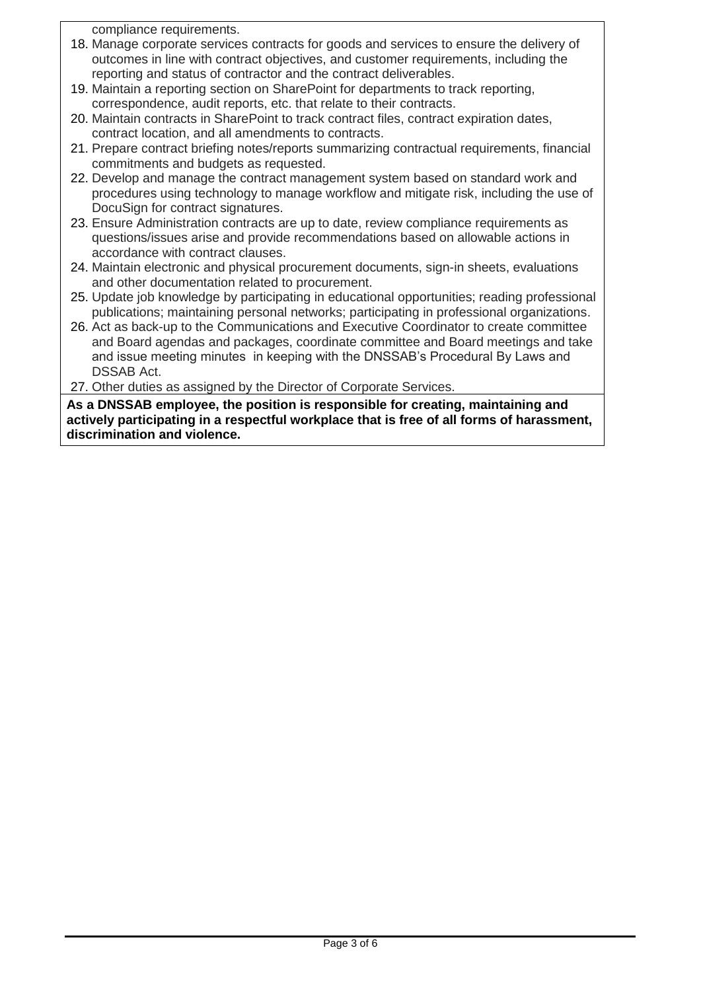compliance requirements.

- 18. Manage corporate services contracts for goods and services to ensure the delivery of outcomes in line with contract objectives, and customer requirements, including the reporting and status of contractor and the contract deliverables.
- 19. Maintain a reporting section on SharePoint for departments to track reporting, correspondence, audit reports, etc. that relate to their contracts.
- 20. Maintain contracts in SharePoint to track contract files, contract expiration dates, contract location, and all amendments to contracts.
- 21. Prepare contract briefing notes/reports summarizing contractual requirements, financial commitments and budgets as requested.
- 22. Develop and manage the contract management system based on standard work and procedures using technology to manage workflow and mitigate risk, including the use of DocuSign for contract signatures.
- 23. Ensure Administration contracts are up to date, review compliance requirements as questions/issues arise and provide recommendations based on allowable actions in accordance with contract clauses.
- 24. Maintain electronic and physical procurement documents, sign-in sheets, evaluations and other documentation related to procurement.
- 25. Update job knowledge by participating in educational opportunities; reading professional publications; maintaining personal networks; participating in professional organizations.
- 26. Act as back-up to the Communications and Executive Coordinator to create committee and Board agendas and packages, coordinate committee and Board meetings and take and issue meeting minutes in keeping with the DNSSAB's Procedural By Laws and DSSAB Act.
- 27. Other duties as assigned by the Director of Corporate Services.

**As a DNSSAB employee, the position is responsible for creating, maintaining and actively participating in a respectful workplace that is free of all forms of harassment, discrimination and violence.**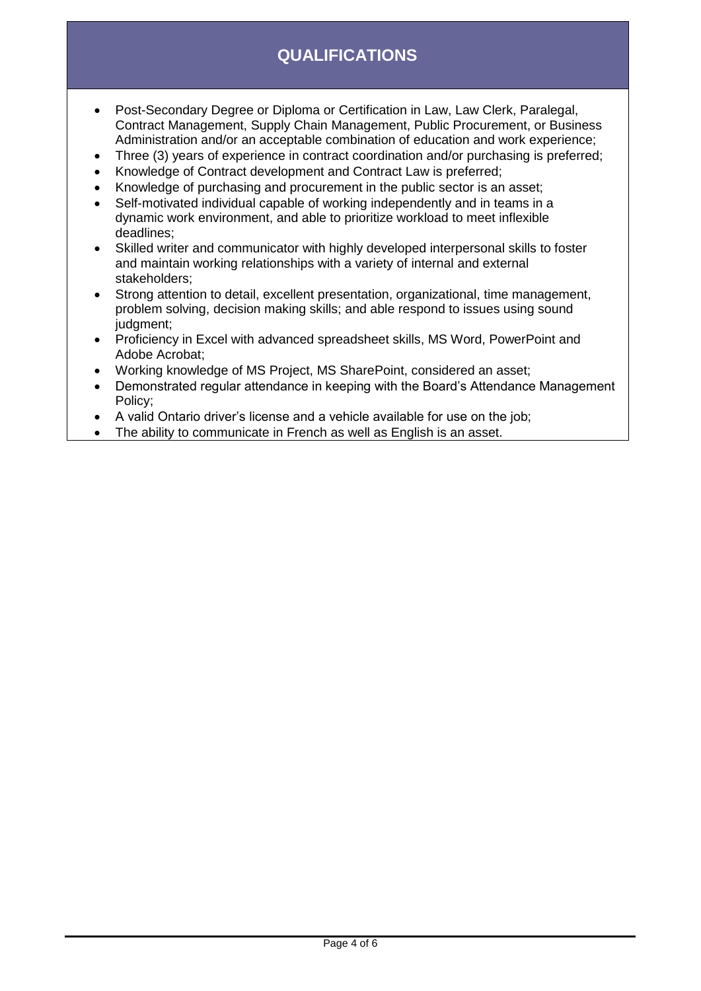# **QUALIFICATIONS**

- Post-Secondary Degree or Diploma or Certification in Law, Law Clerk, Paralegal, Contract Management, Supply Chain Management, Public Procurement, or Business Administration and/or an acceptable combination of education and work experience;
- Three (3) years of experience in contract coordination and/or purchasing is preferred;
- Knowledge of Contract development and Contract Law is preferred;
- Knowledge of purchasing and procurement in the public sector is an asset;
- Self-motivated individual capable of working independently and in teams in a dynamic work environment, and able to prioritize workload to meet inflexible deadlines;
- Skilled writer and communicator with highly developed interpersonal skills to foster and maintain working relationships with a variety of internal and external stakeholders;
- Strong attention to detail, excellent presentation, organizational, time management, problem solving, decision making skills; and able respond to issues using sound judgment;
- Proficiency in Excel with advanced spreadsheet skills, MS Word, PowerPoint and Adobe Acrobat;
- Working knowledge of MS Project, MS SharePoint, considered an asset;
- Demonstrated regular attendance in keeping with the Board's Attendance Management Policy;
- A valid Ontario driver's license and a vehicle available for use on the job;
- The ability to communicate in French as well as English is an asset.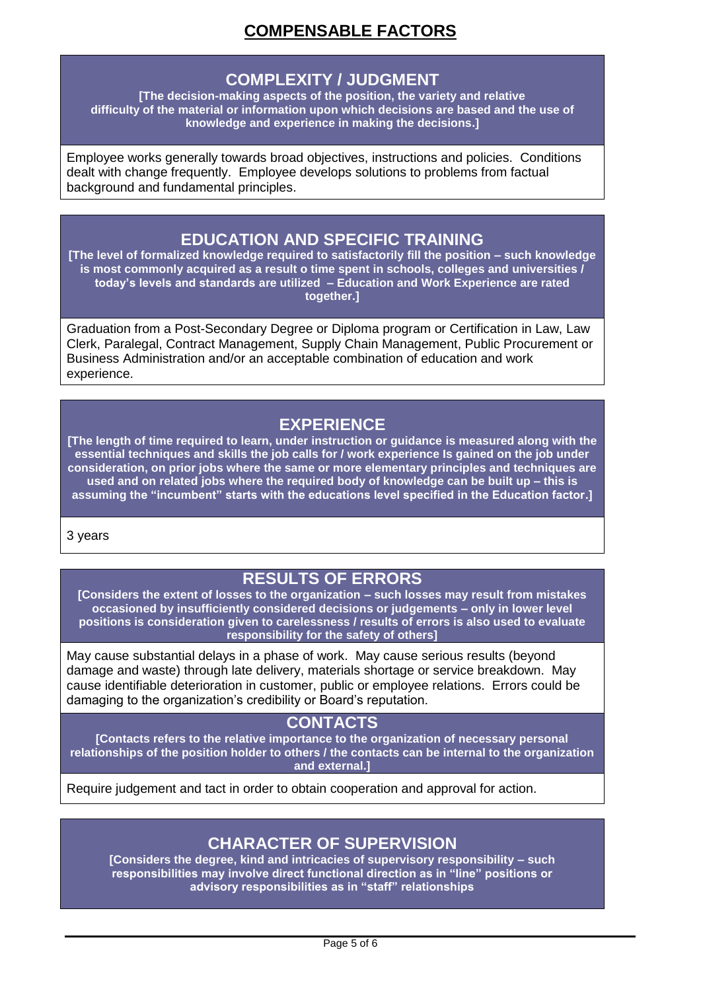# **COMPENSABLE FACTORS**

#### **COMPLEXITY / JUDGMENT**

**[The decision-making aspects of the position, the variety and relative difficulty of the material or information upon which decisions are based and the use of knowledge and experience in making the decisions.]**

Employee works generally towards broad objectives, instructions and policies. Conditions dealt with change frequently. Employee develops solutions to problems from factual background and fundamental principles.

## **EDUCATION AND SPECIFIC TRAINING**

**[The level of formalized knowledge required to satisfactorily fill the position – such knowledge is most commonly acquired as a result o time spent in schools, colleges and universities / today's levels and standards are utilized – Education and Work Experience are rated together.]**

Graduation from a Post-Secondary Degree or Diploma program or Certification in Law, Law Clerk, Paralegal, Contract Management, Supply Chain Management, Public Procurement or Business Administration and/or an acceptable combination of education and work experience.

## **EXPERIENCE**

**[The length of time required to learn, under instruction or guidance is measured along with the essential techniques and skills the job calls for / work experience Is gained on the job under consideration, on prior jobs where the same or more elementary principles and techniques are used and on related jobs where the required body of knowledge can be built up – this is assuming the "incumbent" starts with the educations level specified in the Education factor.]**

3 years

# **RESULTS OF ERRORS**

**[Considers the extent of losses to the organization – such losses may result from mistakes occasioned by insufficiently considered decisions or judgements – only in lower level positions is consideration given to carelessness / results of errors is also used to evaluate responsibility for the safety of others]**

May cause substantial delays in a phase of work. May cause serious results (beyond damage and waste) through late delivery, materials shortage or service breakdown. May cause identifiable deterioration in customer, public or employee relations. Errors could be damaging to the organization's credibility or Board's reputation.

#### **CONTACTS**

**[Contacts refers to the relative importance to the organization of necessary personal relationships of the position holder to others / the contacts can be internal to the organization and external.]**

Require judgement and tact in order to obtain cooperation and approval for action.

### **CHARACTER OF SUPERVISION**

**[Considers the degree, kind and intricacies of supervisory responsibility – such responsibilities may involve direct functional direction as in "line" positions or advisory responsibilities as in "staff" relationships**